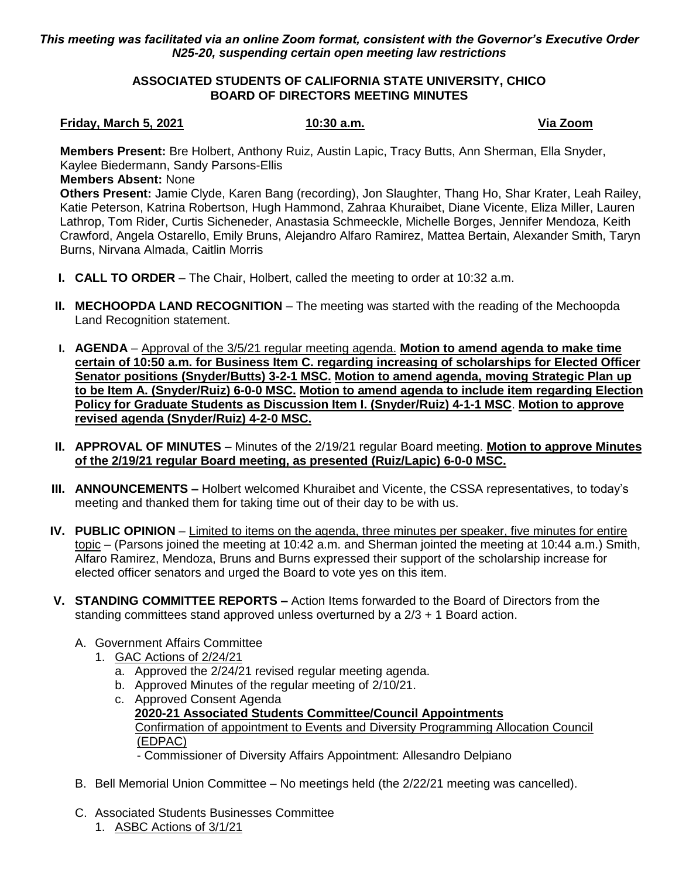# *This meeting was facilitated via an online Zoom format, consistent with the Governor's Executive Order N25-20, suspending certain open meeting law restrictions*

# **ASSOCIATED STUDENTS OF CALIFORNIA STATE UNIVERSITY, CHICO BOARD OF DIRECTORS MEETING MINUTES**

## **Friday, March 5, 2021 10:30 a.m. Via Zoom**

**Members Present:** Bre Holbert, Anthony Ruiz, Austin Lapic, Tracy Butts, Ann Sherman, Ella Snyder, Kaylee Biedermann, Sandy Parsons-Ellis

### **Members Absent:** None

**Others Present:** Jamie Clyde, Karen Bang (recording), Jon Slaughter, Thang Ho, Shar Krater, Leah Railey, Katie Peterson, Katrina Robertson, Hugh Hammond, Zahraa Khuraibet, Diane Vicente, Eliza Miller, Lauren Lathrop, Tom Rider, Curtis Sicheneder, Anastasia Schmeeckle, Michelle Borges, Jennifer Mendoza, Keith Crawford, Angela Ostarello, Emily Bruns, Alejandro Alfaro Ramirez, Mattea Bertain, Alexander Smith, Taryn Burns, Nirvana Almada, Caitlin Morris

- **I. CALL TO ORDER** The Chair, Holbert, called the meeting to order at 10:32 a.m.
- **II. MECHOOPDA LAND RECOGNITION** The meeting was started with the reading of the Mechoopda Land Recognition statement.
- **I. AGENDA** Approval of the 3/5/21 regular meeting agenda. **Motion to amend agenda to make time certain of 10:50 a.m. for Business Item C. regarding increasing of scholarships for Elected Officer Senator positions (Snyder/Butts) 3-2-1 MSC. Motion to amend agenda, moving Strategic Plan up to be Item A. (Snyder/Ruiz) 6-0-0 MSC. Motion to amend agenda to include item regarding Election Policy for Graduate Students as Discussion Item I. (Snyder/Ruiz) 4-1-1 MSC**. **Motion to approve revised agenda (Snyder/Ruiz) 4-2-0 MSC.**
- **II. APPROVAL OF MINUTES** Minutes of the 2/19/21 regular Board meeting. **Motion to approve Minutes of the 2/19/21 regular Board meeting, as presented (Ruiz/Lapic) 6-0-0 MSC.**
- **III. ANNOUNCEMENTS –** Holbert welcomed Khuraibet and Vicente, the CSSA representatives, to today's meeting and thanked them for taking time out of their day to be with us.
- **IV. PUBLIC OPINION** Limited to items on the agenda, three minutes per speaker, five minutes for entire topic – (Parsons joined the meeting at 10:42 a.m. and Sherman jointed the meeting at 10:44 a.m.) Smith, Alfaro Ramirez, Mendoza, Bruns and Burns expressed their support of the scholarship increase for elected officer senators and urged the Board to vote yes on this item.
- **V. STANDING COMMITTEE REPORTS –** Action Items forwarded to the Board of Directors from the standing committees stand approved unless overturned by a 2/3 + 1 Board action.
	- A. Government Affairs Committee
		- 1. GAC Actions of 2/24/21
			- a. Approved the 2/24/21 revised regular meeting agenda.
			- b. Approved Minutes of the regular meeting of 2/10/21.
			- c. Approved Consent Agenda **2020-21 Associated Students Committee/Council Appointments** Confirmation of appointment to Events and Diversity Programming Allocation Council (EDPAC)
				- Commissioner of Diversity Affairs Appointment: Allesandro Delpiano
	- B. Bell Memorial Union Committee No meetings held (the 2/22/21 meeting was cancelled).
	- C. Associated Students Businesses Committee
		- 1. ASBC Actions of 3/1/21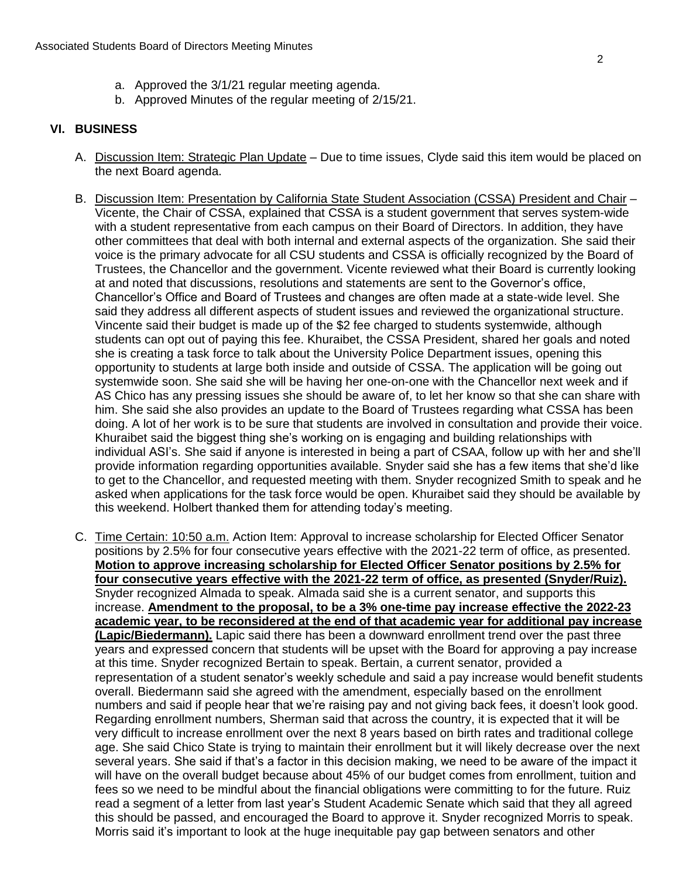- a. Approved the 3/1/21 regular meeting agenda.
- b. Approved Minutes of the regular meeting of 2/15/21.

# **VI. BUSINESS**

- A. Discussion Item: Strategic Plan Update Due to time issues, Clyde said this item would be placed on the next Board agenda.
- B. Discussion Item: Presentation by California State Student Association (CSSA) President and Chair -Vicente, the Chair of CSSA, explained that CSSA is a student government that serves system-wide with a student representative from each campus on their Board of Directors. In addition, they have other committees that deal with both internal and external aspects of the organization. She said their voice is the primary advocate for all CSU students and CSSA is officially recognized by the Board of Trustees, the Chancellor and the government. Vicente reviewed what their Board is currently looking at and noted that discussions, resolutions and statements are sent to the Governor's office, Chancellor's Office and Board of Trustees and changes are often made at a state-wide level. She said they address all different aspects of student issues and reviewed the organizational structure. Vincente said their budget is made up of the \$2 fee charged to students systemwide, although students can opt out of paying this fee. Khuraibet, the CSSA President, shared her goals and noted she is creating a task force to talk about the University Police Department issues, opening this opportunity to students at large both inside and outside of CSSA. The application will be going out systemwide soon. She said she will be having her one-on-one with the Chancellor next week and if AS Chico has any pressing issues she should be aware of, to let her know so that she can share with him. She said she also provides an update to the Board of Trustees regarding what CSSA has been doing. A lot of her work is to be sure that students are involved in consultation and provide their voice. Khuraibet said the biggest thing she's working on is engaging and building relationships with individual ASI's. She said if anyone is interested in being a part of CSAA, follow up with her and she'll provide information regarding opportunities available. Snyder said she has a few items that she'd like to get to the Chancellor, and requested meeting with them. Snyder recognized Smith to speak and he asked when applications for the task force would be open. Khuraibet said they should be available by this weekend. Holbert thanked them for attending today's meeting.
- C. Time Certain: 10:50 a.m. Action Item: Approval to increase scholarship for Elected Officer Senator positions by 2.5% for four consecutive years effective with the 2021-22 term of office, as presented. **Motion to approve increasing scholarship for Elected Officer Senator positions by 2.5% for four consecutive years effective with the 2021-22 term of office, as presented (Snyder/Ruiz).** Snyder recognized Almada to speak. Almada said she is a current senator, and supports this increase. **Amendment to the proposal, to be a 3% one-time pay increase effective the 2022-23 academic year, to be reconsidered at the end of that academic year for additional pay increase (Lapic/Biedermann).** Lapic said there has been a downward enrollment trend over the past three years and expressed concern that students will be upset with the Board for approving a pay increase at this time. Snyder recognized Bertain to speak. Bertain, a current senator, provided a representation of a student senator's weekly schedule and said a pay increase would benefit students overall. Biedermann said she agreed with the amendment, especially based on the enrollment numbers and said if people hear that we're raising pay and not giving back fees, it doesn't look good. Regarding enrollment numbers, Sherman said that across the country, it is expected that it will be very difficult to increase enrollment over the next 8 years based on birth rates and traditional college age. She said Chico State is trying to maintain their enrollment but it will likely decrease over the next several years. She said if that's a factor in this decision making, we need to be aware of the impact it will have on the overall budget because about 45% of our budget comes from enrollment, tuition and fees so we need to be mindful about the financial obligations were committing to for the future. Ruiz read a segment of a letter from last year's Student Academic Senate which said that they all agreed this should be passed, and encouraged the Board to approve it. Snyder recognized Morris to speak. Morris said it's important to look at the huge inequitable pay gap between senators and other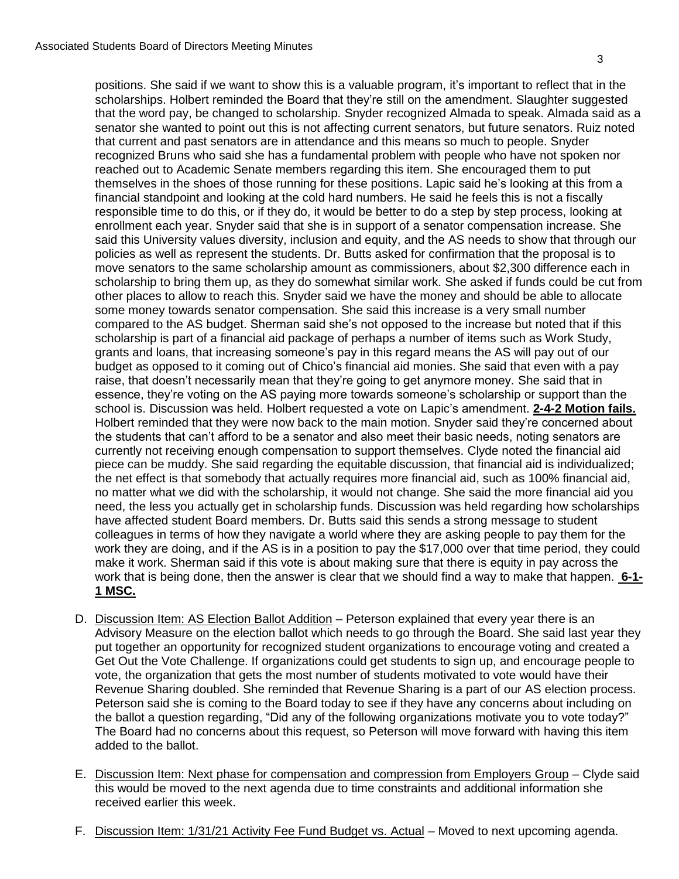positions. She said if we want to show this is a valuable program, it's important to reflect that in the scholarships. Holbert reminded the Board that they're still on the amendment. Slaughter suggested that the word pay, be changed to scholarship. Snyder recognized Almada to speak. Almada said as a senator she wanted to point out this is not affecting current senators, but future senators. Ruiz noted that current and past senators are in attendance and this means so much to people. Snyder recognized Bruns who said she has a fundamental problem with people who have not spoken nor reached out to Academic Senate members regarding this item. She encouraged them to put themselves in the shoes of those running for these positions. Lapic said he's looking at this from a financial standpoint and looking at the cold hard numbers. He said he feels this is not a fiscally responsible time to do this, or if they do, it would be better to do a step by step process, looking at enrollment each year. Snyder said that she is in support of a senator compensation increase. She said this University values diversity, inclusion and equity, and the AS needs to show that through our policies as well as represent the students. Dr. Butts asked for confirmation that the proposal is to move senators to the same scholarship amount as commissioners, about \$2,300 difference each in scholarship to bring them up, as they do somewhat similar work. She asked if funds could be cut from other places to allow to reach this. Snyder said we have the money and should be able to allocate some money towards senator compensation. She said this increase is a very small number compared to the AS budget. Sherman said she's not opposed to the increase but noted that if this scholarship is part of a financial aid package of perhaps a number of items such as Work Study, grants and loans, that increasing someone's pay in this regard means the AS will pay out of our budget as opposed to it coming out of Chico's financial aid monies. She said that even with a pay raise, that doesn't necessarily mean that they're going to get anymore money. She said that in essence, they're voting on the AS paying more towards someone's scholarship or support than the school is. Discussion was held. Holbert requested a vote on Lapic's amendment. **2-4-2 Motion fails.** Holbert reminded that they were now back to the main motion. Snyder said they're concerned about the students that can't afford to be a senator and also meet their basic needs, noting senators are currently not receiving enough compensation to support themselves. Clyde noted the financial aid piece can be muddy. She said regarding the equitable discussion, that financial aid is individualized; the net effect is that somebody that actually requires more financial aid, such as 100% financial aid, no matter what we did with the scholarship, it would not change. She said the more financial aid you need, the less you actually get in scholarship funds. Discussion was held regarding how scholarships have affected student Board members. Dr. Butts said this sends a strong message to student colleagues in terms of how they navigate a world where they are asking people to pay them for the work they are doing, and if the AS is in a position to pay the \$17,000 over that time period, they could make it work. Sherman said if this vote is about making sure that there is equity in pay across the work that is being done, then the answer is clear that we should find a way to make that happen. **6-1- 1 MSC.**

- D. Discussion Item: AS Election Ballot Addition Peterson explained that every year there is an Advisory Measure on the election ballot which needs to go through the Board. She said last year they put together an opportunity for recognized student organizations to encourage voting and created a Get Out the Vote Challenge. If organizations could get students to sign up, and encourage people to vote, the organization that gets the most number of students motivated to vote would have their Revenue Sharing doubled. She reminded that Revenue Sharing is a part of our AS election process. Peterson said she is coming to the Board today to see if they have any concerns about including on the ballot a question regarding, "Did any of the following organizations motivate you to vote today?" The Board had no concerns about this request, so Peterson will move forward with having this item added to the ballot.
- E. Discussion Item: Next phase for compensation and compression from Employers Group Clyde said this would be moved to the next agenda due to time constraints and additional information she received earlier this week.
- F. Discussion Item: 1/31/21 Activity Fee Fund Budget vs. Actual Moved to next upcoming agenda.